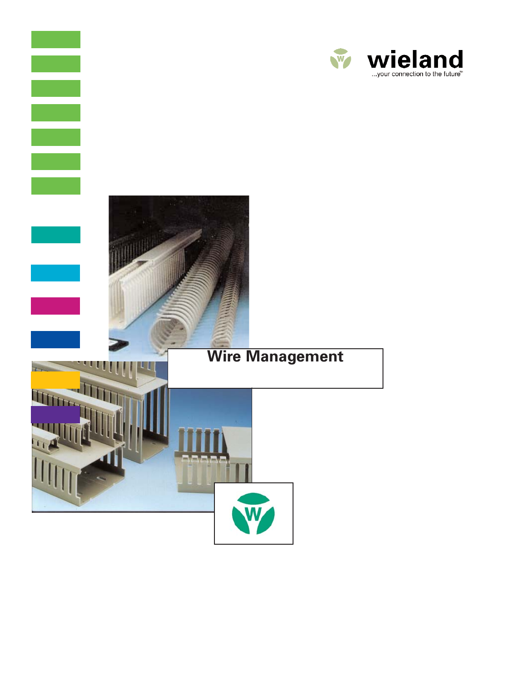

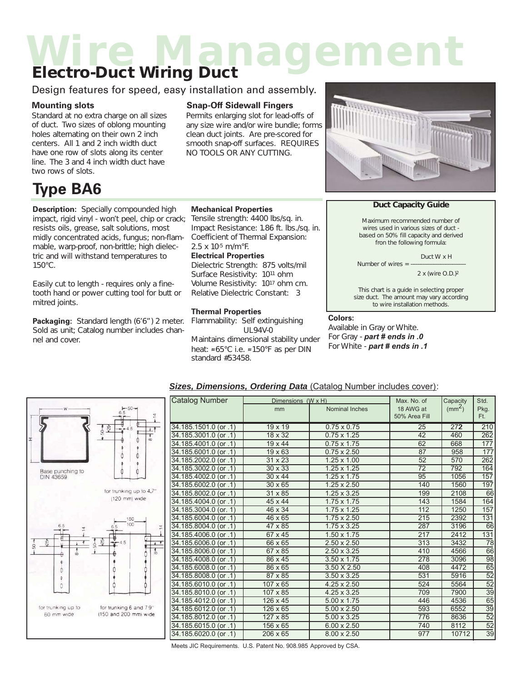## *Wire Management Electro-Duct Wiring Duct*

### Design features for speed, easy installation and assembly.

*Standard at no extra charge on all sizes of duct. Two sizes of oblong mounting holes alternating on their own 2 inch centers. All 1 and 2 inch width duct have one row of slots along its center line. The 3 and 4 inch width duct have two rows of slots.*

## **Type BA6**

**Description:** *Specially compounded high impact, rigid vinyl - won't peel, chip or crack; resists oils, grease, salt solutions, most midly concentrated acids, fungus; non-flammable, warp-proof, non-brittle; high dielectric and will withstand temperatures to 150°C.*

*Easily cut to length - requires only a finetooth hand or power cutting tool for butt or mitred joints.*

**Packaging:** *Standard length (6'6") 2 meter. Sold as unit; Catalog number includes channel and cover.*

### **Mounting slots Snap-Off Sidewall Fingers**

**Mechanical Properties**

*2.5 x 10-5 m/m°F.* **Electrical Properties**

**Thermal Properties**

*standard #53458.*

*Tensile strength: 4400 lbs/sq. in. Impact Resistance: 1.86 ft. lbs./sq. in. Coefficient of Thermal Expansion:*

*Dielectric Strength: 875 volts/mil Surface Resistivity: 1011 ohm Volume Resistivity: 1017 ohm cm. Relative Dielectric Constant: 3*

*Flammability: Self extinguishing UL94V-0 Maintains dimensional stability under heat:* .*65°C i.e.* .*150°F as per DIN*

*Permits enlarging slot for lead-offs of any size wire and/or wire bundle; forms clean duct joints. Are pre-scored for smooth snap-off surfaces. REQUIRES NO TOOLS OR ANY CUTTING.*



#### *Duct Capacity Guide*

*Maximum recommended number of wires used in various sizes of duct based on 50% fill capacity and derived fron the following formula:*

*Duct W x H*

*Number of wires = --2 x (wire O.D.)2*

*This chart is a guide in selecting proper size duct. The amount may vary according to wire installation methods.*

#### **Colors:**

*Available in Gray or White. For Gray - part # ends in .0 For White - part # ends in .1*



#### *Sizes, Dimensions, Ordering Data* (Catalog Number includes cover):

|           | Catalog Number                            | Dimensions (W x H) | Max. No. of        | Capacity        | Std.               |                  |
|-----------|-------------------------------------------|--------------------|--------------------|-----------------|--------------------|------------------|
|           |                                           | mm                 | Nominal Inches     | 18 AWG at       | (mm <sup>2</sup> ) | Pkg.             |
|           |                                           |                    |                    | 50% Area Fill   |                    | Ft.              |
|           | $34.185.1501.0$ (or .1)<br>$19 \times 19$ |                    | $0.75 \times 0.75$ | 25              | 272                | 210              |
|           | 34.185.3001.0 (or .1)                     | 18 x 32            | $0.75 \times 1.25$ | 42              | 460                | 262              |
|           | 34.185.4001.0 (or .1)                     | $19 \times 44$     | $0.75 \times 1.75$ | 62              | 668                | $\overline{177}$ |
|           | $34.185.6001.0$ (or .1)                   | $19 \times 63$     | $0.75 \times 2.50$ | 87              | 958                | 177              |
|           | 34.185.2002.0 (or .1)                     | $31 \times 23$     | $1.25 \times 1.00$ | 52              | 570                | 262              |
|           | $34.185.3002.0$ (or .1)                   | 30 x 33            | $1.25 \times 1.25$ | $\overline{72}$ | 792                | 164              |
|           | 34.185.4002.0 (or .1)                     | $30 \times 44$     | $1.25 \times 1.75$ | 95              | 1056               | 157              |
|           | 34.185.6002.0 (or .1)                     | $30 \times 65$     | $1.25 \times 2.50$ | 140             | 1560               | 197              |
|           | 34.185.8002.0 (or .1)                     | 31 x 85            | $1.25 \times 3.25$ | 199             | 2108               | 66               |
|           | 34.185.4004.0 (or .1)                     | 45 x 44            | $1.75 \times 1.75$ | 143             | 1584               | 164              |
|           | 34.185.3004.0 (or. 1)                     | 46 x 34            | $1.75 \times 1.25$ | 112             | 1250               | 157              |
|           | 34.185.6004.0 (or .1)                     | 46 x 65            | $1.75 \times 2.50$ | 215             | 2392               | 131              |
| $\bar{z}$ | 34.185.8004.0 (or .1)                     | 47 x 85            | 1.75 x 3.25        | 287             | 3196               | 66               |
|           | 34.185.4006.0 (or .1)                     | 67 x 45            | $1.50 \times 1.75$ | 217             | 2412               | 131              |
|           | 34.185.6006.0 (or .1)                     | 66 x 65            | $2.50 \times 2.50$ | 313             | 3432               | 78               |
|           | 34.185.8006.0 (or .1)                     | 67 x 85            | $2.50 \times 3.25$ | 410             | 4566               | 66               |
|           | 34.185.4008.0 (or .1)                     | 86 x 45            | $3.50 \times 1.75$ | 278             | 3096               | $\overline{98}$  |
|           | 34.185.6008.0 (or .1)                     | 86 x 65            | 3.50 X 2.50        | 408             | 4472               | 65               |
|           | 34.185.8008.0 (or .1)                     | 87 x 85            | $3.50 \times 3.25$ | 531             | 5916               | $\overline{52}$  |
|           | 34.185.6010.0 (or .1)                     | 107 x 65           | $4.25 \times 2.50$ | 524             | 5564               | $\overline{52}$  |
|           | 34.185.8010.0 (or .1)                     | 107 x 85           | 4.25 x 3.25        | 709             | 7900               | $\overline{39}$  |
|           | $34.185.4012.0$ (or .1)                   | 126 x 45           | 5.00 x 1.75        | 446             | 4536               | 65               |
|           | 34.185.6012.0 (or .1)                     | 126 x 65           | $5.00 \times 2.50$ | 593             | 6552               | $\overline{39}$  |
|           | 34.185.8012.0 (or .1)                     | 127 x 85           | 5.00 x 3.25        | 776             | 8636               | $\overline{52}$  |
|           | 34.185.6015.0 (or .1)                     | 156 x 65           | $6.00 \times 2.50$ | 740             | 8112               | $\overline{52}$  |
|           | 34.185.6020.0 (or .1)                     | $206 \times 65$    | $8.00 \times 2.50$ | 977             | 10712              | $\overline{39}$  |

Meets JIC Requirements. U.S. Patent No. 908.985 Approved by CSA.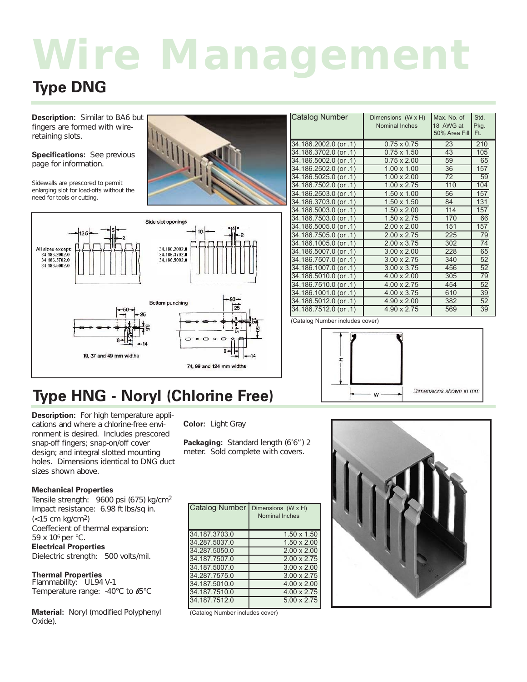# *Wire Management*

## **Type DNG**

**Description:** *Similar to BA6 but fingers are formed with wireretaining slots.*

**Specifications:** *See previous page for information.*

*Sidewalls are prescored to permit enlarging slot for load-offs without the need for tools or cutting.*



## **Type HNG - Noryl (Chlorine Free)**

**Description:** *For high temperature applications and where a chlorine-free environment is desired. Includes prescored snap-off fingers; snap-on/off cover design; and integral slotted mounting holes. Dimensions identical to DNG duct sizes shown above.*

#### **Mechanical Properties**

*Tensile strength: 9600 psi (675) kg/cm2 Impact resistance: 6.98 ft lbs/sq in. (<15 cm kg/cm2) Coeffecient of thermal expansion: 59 x 106 per °C.* **Electrical Properties** *Dielectric strength: 500 volts/mil.*

**Thermal Properties** *Flammability: UL94 V-1 Temperature range: -40°C to* **6***5°C*

**Material:** *Noryl (modified Polyphenyl Oxide).*

**Color:** *Light Gray*

**Packaging:** *Standard length (6'6") 2 meter. Sold complete with covers.*

| Catalog Number | Dimensions (W x H)<br>Nominal Inches |
|----------------|--------------------------------------|
| 34.187.3703.0  | $1.50 \times 1.50$                   |
| 34.287.5037.0  | $1.50 \times 2.00$                   |
| 34.287.5050.0  | $2.00 \times 2.00$                   |
| 34.187.7507.0  | $2.00 \times 2.75$                   |
| 34.187.5007.0  | $3.00 \times 2.00$                   |
| 34.287.7575.0  | $3.00 \times 2.75$                   |
| 34.187.5010.0  | $4.00 \times 2.00$                   |
| 34.187.7510.0  | 4.00 x 2.75                          |
| 34.187.7512.0  | 5.00 x 2.75                          |

| Catalog Number        | Dimensions (W x H)<br><b>Nominal Inches</b> | Max. No. of<br>18 AWG at<br>50% Area Fill | Std.<br>Pkg.<br>Ft. |
|-----------------------|---------------------------------------------|-------------------------------------------|---------------------|
| 34.186.2002.0 (or .1) | $0.75 \times 0.75$                          | 23                                        | 210                 |
| 34.186.3702.0 (or .1) | $0.75 \times 1.50$                          | 43                                        | 105                 |
| 34.186.5002.0 (or .1) | $0.75 \times 2.00$                          | 59                                        | 65                  |
| 34.186.2502.0 (or .1) | $1.00 \times 1.00$                          | 36                                        | 157                 |
| 34.186.5025.0 (or .1) | $1.00 \times 2.00$                          | 72                                        | 59                  |
| 34.186.7502.0 (or .1) | $1.00 \times 2.75$                          | 110                                       | 104                 |
| 34.186.2503.0 (or .1) | $1.50 \times 1.00$                          | 56                                        | 157                 |
| 34.186.3703.0 (or .1) | $1.50 \times 1.50$                          | 84                                        | 131                 |
| 34.186.5003.0 (or .1) | $1.50 \times 2.00$                          | 114                                       | 157                 |
| 34.186.7503.0 (or .1) | $1.50 \times 2.75$                          | 170                                       | 66                  |
| 34.186.5005.0 (or .1) | $2.00 \times 2.00$                          | 151                                       | 157                 |
| 34.186.7505.0 (or .1) | $2.00 \times 2.75$                          | 225                                       | $\overline{79}$     |
| 34.186.1005.0 (or .1) | $2.00 \times 3.75$                          | 302                                       | 74                  |
| 34.186.5007.0 (or .1) | $3.00 \times 2.00$                          | 228                                       | 65                  |
| 34.186.7507.0 (or .1) | $3.00 \times 2.75$                          | 340                                       | 52                  |
| 34.186.1007.0 (or .1) | $3.00 \times 3.75$                          | 456                                       | $\overline{52}$     |
| 34.186.5010.0 (or .1) | $4.00 \times 2.00$                          | 305                                       | $\overline{79}$     |
| 34.186.7510.0 (or .1) | $4.00 \times 2.75$                          | 454                                       | $\overline{52}$     |
| 34.186.1001.0 (or .1) | 4.00 x 3.75                                 | 610                                       | $\overline{39}$     |
| 34.186.5012.0 (or .1) | $4.90 \times 2.00$                          | 382                                       | $\overline{52}$     |
| 34.186.7512.0 (or .1) | 4.90 x 2.75                                 | 569                                       | $\overline{39}$     |

(Catalog Number includes cover)





(Catalog Number includes cover)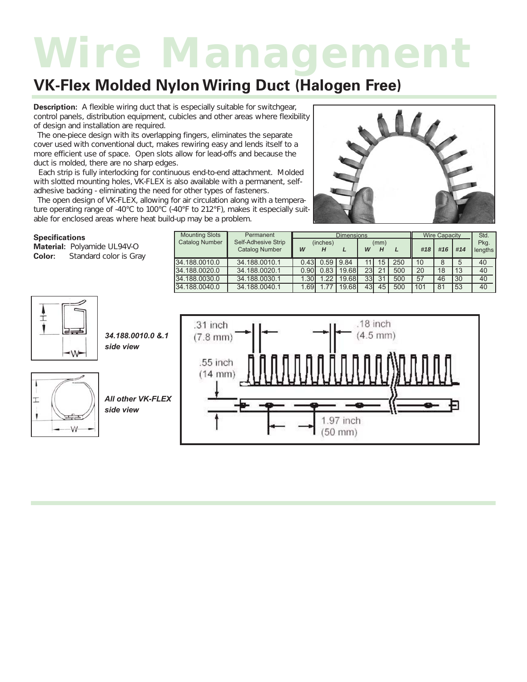## *Wire Management*

### **VK-Flex Molded Nylon Wiring Duct (Halogen Free)**

**Description:** *A flexible wiring duct that is especially suitable for switchgear, control panels, distribution equipment, cubicles and other areas where flexibility of design and installation are required.*

*The one-piece design with its overlapping fingers, eliminates the separate cover used with conventional duct, makes rewiring easy and lends itself to a more efficient use of space. Open slots allow for lead-offs and because the duct is molded, there are no sharp edges.*

*Each strip is fully interlocking for continuous end-to-end attachment. Molded with slotted mounting holes, VK-FLEX is also available with a permanent, selfadhesive backing - eliminating the need for other types of fasteners.*

*The open design of VK-FLEX, allowing for air circulation along with a temperature operating range of -40°C to 100°C (-40°F to 212°F), makes it especially suitable for enclosed areas where heat build-up may be a problem.*



#### **Specifications**

| <b>Specifications</b><br>Material: Polyamide UL94V-O<br>Color:<br><b>Standard color is Gray</b> | <b>Mounting Slots</b><br>Catalog Number | Permanent<br>Self-Adhesive Strip<br><b>Catalog Number</b> | W     | (inches)<br>H    | <b>Dimensions</b>   | W               | (mm)<br>н       |     | #18  | <b>Wire Capacity</b><br>I #16   #14 |     | Std.<br>Pkg.<br>lengths |
|-------------------------------------------------------------------------------------------------|-----------------------------------------|-----------------------------------------------------------|-------|------------------|---------------------|-----------------|-----------------|-----|------|-------------------------------------|-----|-------------------------|
|                                                                                                 | 34.188.0010.0                           | 34.188.0010.1                                             |       | $0.43$ 0.59 9.84 |                     | 11 <sup>1</sup> | 15 <sup>1</sup> | 250 | 10   | 8                                   |     | 40                      |
|                                                                                                 | 34.188.0020.0                           | 34.188.0020.1                                             |       |                  | $0.90$ 0.83   19.68 |                 | 23 21           | 500 | 20   | 18                                  | 113 | 40                      |
|                                                                                                 | 34.188.0030.0                           | 34.188.0030.1                                             | 1.30I | $.22 \mid$       | 19.68               |                 | 33 31           | 500 | 57   | 46                                  | 130 | 40                      |
|                                                                                                 | 34.188.0040.0                           | 34.188.0040.1                                             | 1.69I | 177              | 19.68               |                 | 43 45           | 500 | .101 | , 81                                | 153 | 40                      |



*34.188.0010.0 &.1 side view*



*All other VK-FLEX side view*